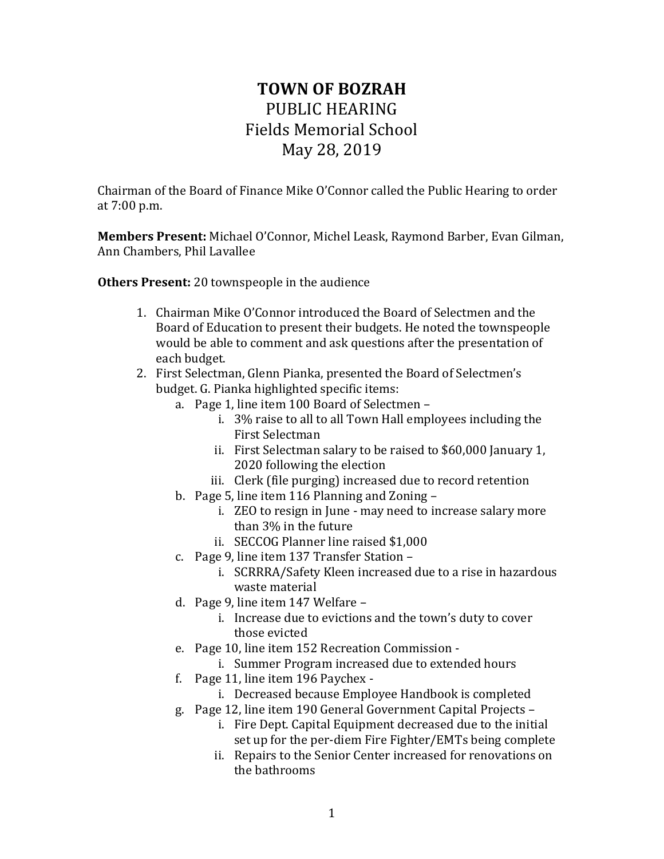## **TOWN OF BOZRAH** PUBLIC HEARING Fields Memorial School May 28, 2019

Chairman of the Board of Finance Mike O'Connor called the Public Hearing to order at 7:00 p.m.

**Members Present:** Michael O'Connor, Michel Leask, Raymond Barber, Evan Gilman, Ann Chambers, Phil Lavallee

**Others Present:** 20 townspeople in the audience

- 1. Chairman Mike O'Connor introduced the Board of Selectmen and the Board of Education to present their budgets. He noted the townspeople would be able to comment and ask questions after the presentation of each budget.
- 2. First Selectman, Glenn Pianka, presented the Board of Selectmen's budget. G. Pianka highlighted specific items:
	- a. Page 1, line item 100 Board of Selectmen
		- i. 3% raise to all to all Town Hall employees including the First Selectman
		- ii. First Selectman salary to be raised to \$60,000 January 1, 2020 following the election
		- iii. Clerk (file purging) increased due to record retention
	- b. Page 5, line item 116 Planning and Zoning
		- i. ZEO to resign in June may need to increase salary more than 3% in the future
		- ii. SECCOG Planner line raised \$1,000
	- c. Page 9, line item 137 Transfer Station
		- i. SCRRRA/Safety Kleen increased due to a rise in hazardous waste material
	- d. Page 9, line item 147 Welfare
		- i. Increase due to evictions and the town's duty to cover those evicted
	- e. Page 10, line item 152 Recreation Commission
		- i. Summer Program increased due to extended hours
	- f. Page 11, line item 196 Paychex
		- i. Decreased because Employee Handbook is completed
	- g. Page 12, line item 190 General Government Capital Projects
		- i. Fire Dept. Capital Equipment decreased due to the initial set up for the per-diem Fire Fighter/EMTs being complete
		- ii. Repairs to the Senior Center increased for renovations on the bathrooms